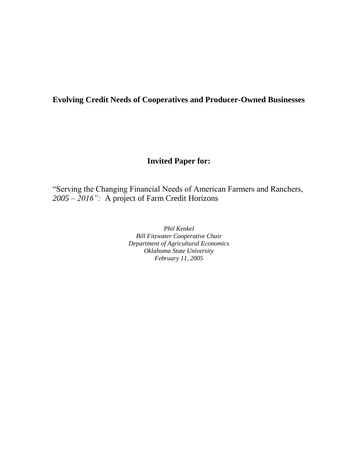## **Evolving Credit Needs of Cooperatives and Producer-Owned Businesses**

# **Invited Paper for:**

"Serving the Changing Financial Needs of American Farmers and Ranchers, *2005 – 2016":* A project of Farm Credit Horizons

> *Phil Kenkel Bill Fitzwater Cooperative Chair Department of Agricultural Economics Oklahoma State University February 11, 2005*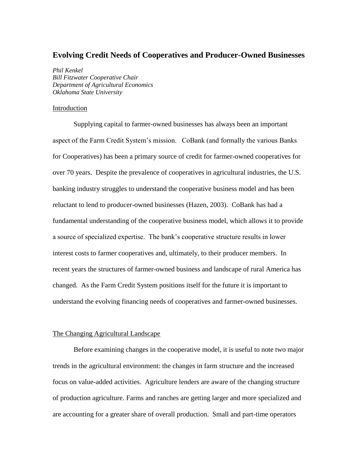## **Evolving Credit Needs of Cooperatives and Producer-Owned Businesses**

*Phil Kenkel Bill Fitzwater Cooperative Chair Department of Agricultural Economics Oklahoma State University*

## Introduction

Supplying capital to farmer-owned businesses has always been an important aspect of the Farm Credit System's mission. CoBank (and formally the various Banks for Cooperatives) has been a primary source of credit for farmer-owned cooperatives for over 70 years. Despite the prevalence of cooperatives in agricultural industries, the U.S. banking industry struggles to understand the cooperative business model and has been reluctant to lend to producer-owned businesses (Hazen, 2003). CoBank has had a fundamental understanding of the cooperative business model, which allows it to provide a source of specialized expertise. The bank's cooperative structure results in lower interest costs to farmer cooperatives and, ultimately, to their producer members. In recent years the structures of farmer-owned business and landscape of rural America has changed. As the Farm Credit System positions itself for the future it is important to understand the evolving financing needs of cooperatives and farmer-owned businesses.

## The Changing Agricultural Landscape

Before examining changes in the cooperative model, it is useful to note two major trends in the agricultural environment: the changes in farm structure and the increased focus on value-added activities. Agriculture lenders are aware of the changing structure of production agriculture. Farms and ranches are getting larger and more specialized and are accounting for a greater share of overall production. Small and part-time operators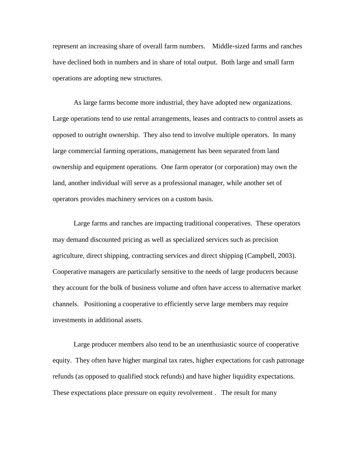represent an increasing share of overall farm numbers. Middle-sized farms and ranches have declined both in numbers and in share of total output. Both large and small farm operations are adopting new structures.

As large farms become more industrial, they have adopted new organizations. Large operations tend to use rental arrangements, leases and contracts to control assets as opposed to outright ownership. They also tend to involve multiple operators. In many large commercial farming operations, management has been separated from land ownership and equipment operations. One farm operator (or corporation) may own the land, another individual will serve as a professional manager, while another set of operators provides machinery services on a custom basis.

Large farms and ranches are impacting traditional cooperatives. These operators may demand discounted pricing as well as specialized services such as precision agriculture, direct shipping, contracting services and direct shipping (Campbell, 2003). Cooperative managers are particularly sensitive to the needs of large producers because they account for the bulk of business volume and often have access to alternative market channels. Positioning a cooperative to efficiently serve large members may require investments in additional assets.

Large producer members also tend to be an unenthusiastic source of cooperative equity. They often have higher marginal tax rates, higher expectations for cash patronage refunds (as opposed to qualified stock refunds) and have higher liquidity expectations. These expectations place pressure on equity revolvement . The result for many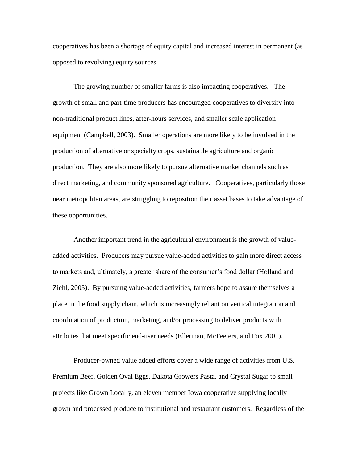cooperatives has been a shortage of equity capital and increased interest in permanent (as opposed to revolving) equity sources.

The growing number of smaller farms is also impacting cooperatives. The growth of small and part-time producers has encouraged cooperatives to diversify into non-traditional product lines, after-hours services, and smaller scale application equipment (Campbell, 2003). Smaller operations are more likely to be involved in the production of alternative or specialty crops, sustainable agriculture and organic production. They are also more likely to pursue alternative market channels such as direct marketing, and community sponsored agriculture. Cooperatives, particularly those near metropolitan areas, are struggling to reposition their asset bases to take advantage of these opportunities.

Another important trend in the agricultural environment is the growth of valueadded activities. Producers may pursue value-added activities to gain more direct access to markets and, ultimately, a greater share of the consumer's food dollar (Holland and Ziehl, 2005). By pursuing value-added activities, farmers hope to assure themselves a place in the food supply chain, which is increasingly reliant on vertical integration and coordination of production, marketing, and/or processing to deliver products with attributes that meet specific end-user needs (Ellerman, McFeeters, and Fox 2001).

Producer-owned value added efforts cover a wide range of activities from U.S. Premium Beef, Golden Oval Eggs, Dakota Growers Pasta, and Crystal Sugar to small projects like Grown Locally, an eleven member Iowa cooperative supplying locally grown and processed produce to institutional and restaurant customers. Regardless of the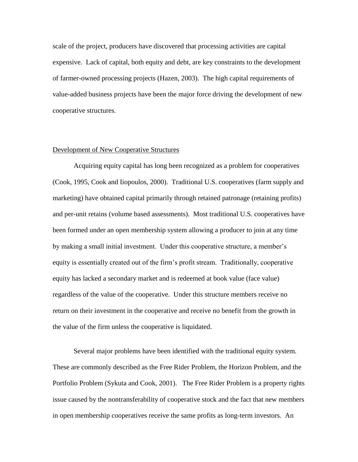scale of the project, producers have discovered that processing activities are capital expensive. Lack of capital, both equity and debt, are key constraints to the development of farmer-owned processing projects (Hazen, 2003). The high capital requirements of value-added business projects have been the major force driving the development of new cooperative structures.

#### Development of New Cooperative Structures

Acquiring equity capital has long been recognized as a problem for cooperatives (Cook, 1995, Cook and Iiopoulos, 2000). Traditional U.S. cooperatives (farm supply and marketing) have obtained capital primarily through retained patronage (retaining profits) and per-unit retains (volume based assessments). Most traditional U.S. cooperatives have been formed under an open membership system allowing a producer to join at any time by making a small initial investment. Under this cooperative structure, a member's equity is essentially created out of the firm's profit stream. Traditionally, cooperative equity has lacked a secondary market and is redeemed at book value (face value) regardless of the value of the cooperative. Under this structure members receive no return on their investment in the cooperative and receive no benefit from the growth in the value of the firm unless the cooperative is liquidated.

Several major problems have been identified with the traditional equity system. These are commonly described as the Free Rider Problem, the Horizon Problem, and the Portfolio Problem (Sykuta and Cook, 2001). The Free Rider Problem is a property rights issue caused by the nontransferability of cooperative stock and the fact that new members in open membership cooperatives receive the same profits as long-term investors. An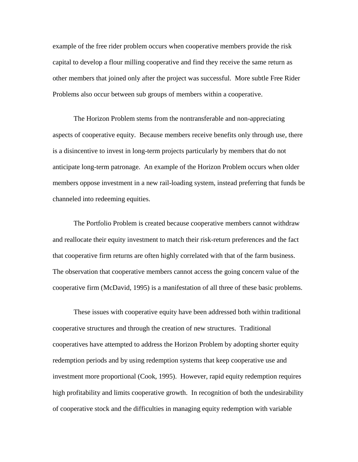example of the free rider problem occurs when cooperative members provide the risk capital to develop a flour milling cooperative and find they receive the same return as other members that joined only after the project was successful. More subtle Free Rider Problems also occur between sub groups of members within a cooperative.

The Horizon Problem stems from the nontransferable and non-appreciating aspects of cooperative equity. Because members receive benefits only through use, there is a disincentive to invest in long-term projects particularly by members that do not anticipate long-term patronage. An example of the Horizon Problem occurs when older members oppose investment in a new rail-loading system, instead preferring that funds be channeled into redeeming equities.

The Portfolio Problem is created because cooperative members cannot withdraw and reallocate their equity investment to match their risk-return preferences and the fact that cooperative firm returns are often highly correlated with that of the farm business. The observation that cooperative members cannot access the going concern value of the cooperative firm (McDavid, 1995) is a manifestation of all three of these basic problems.

These issues with cooperative equity have been addressed both within traditional cooperative structures and through the creation of new structures. Traditional cooperatives have attempted to address the Horizon Problem by adopting shorter equity redemption periods and by using redemption systems that keep cooperative use and investment more proportional (Cook, 1995). However, rapid equity redemption requires high profitability and limits cooperative growth. In recognition of both the undesirability of cooperative stock and the difficulties in managing equity redemption with variable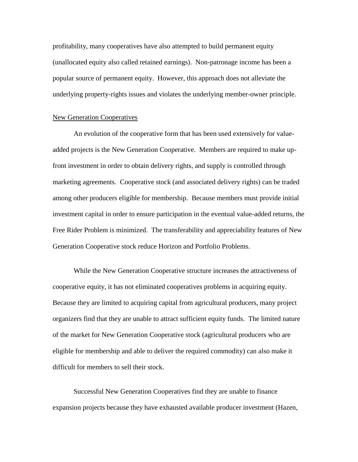profitability, many cooperatives have also attempted to build permanent equity (unallocated equity also called retained earnings). Non-patronage income has been a popular source of permanent equity. However, this approach does not alleviate the underlying property-rights issues and violates the underlying member-owner principle.

#### New Generation Cooperatives

An evolution of the cooperative form that has been used extensively for valueadded projects is the New Generation Cooperative. Members are required to make upfront investment in order to obtain delivery rights, and supply is controlled through marketing agreements. Cooperative stock (and associated delivery rights) can be traded among other producers eligible for membership. Because members must provide initial investment capital in order to ensure participation in the eventual value-added returns, the Free Rider Problem is minimized. The transferability and appreciability features of New Generation Cooperative stock reduce Horizon and Portfolio Problems.

While the New Generation Cooperative structure increases the attractiveness of cooperative equity, it has not eliminated cooperatives problems in acquiring equity. Because they are limited to acquiring capital from agricultural producers, many project organizers find that they are unable to attract sufficient equity funds. The limited nature of the market for New Generation Cooperative stock (agricultural producers who are eligible for membership and able to deliver the required commodity) can also make it difficult for members to sell their stock.

Successful New Generation Cooperatives find they are unable to finance expansion projects because they have exhausted available producer investment (Hazen,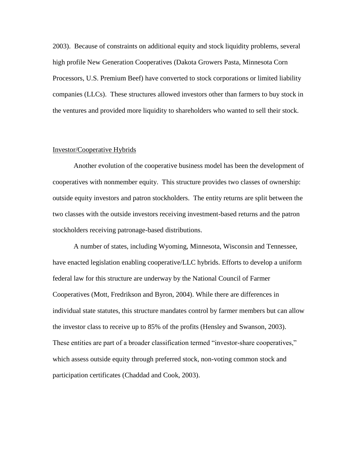2003). Because of constraints on additional equity and stock liquidity problems, several high profile New Generation Cooperatives (Dakota Growers Pasta, Minnesota Corn Processors, U.S. Premium Beef) have converted to stock corporations or limited liability companies (LLCs). These structures allowed investors other than farmers to buy stock in the ventures and provided more liquidity to shareholders who wanted to sell their stock.

#### Investor/Cooperative Hybrids

Another evolution of the cooperative business model has been the development of cooperatives with nonmember equity. This structure provides two classes of ownership: outside equity investors and patron stockholders. The entity returns are split between the two classes with the outside investors receiving investment-based returns and the patron stockholders receiving patronage-based distributions.

A number of states, including Wyoming, Minnesota, Wisconsin and Tennessee, have enacted legislation enabling cooperative/LLC hybrids. Efforts to develop a uniform federal law for this structure are underway by the National Council of Farmer Cooperatives (Mott, Fredrikson and Byron, 2004). While there are differences in individual state statutes, this structure mandates control by farmer members but can allow the investor class to receive up to 85% of the profits (Hensley and Swanson, 2003). These entities are part of a broader classification termed "investor-share cooperatives," which assess outside equity through preferred stock, non-voting common stock and participation certificates (Chaddad and Cook, 2003).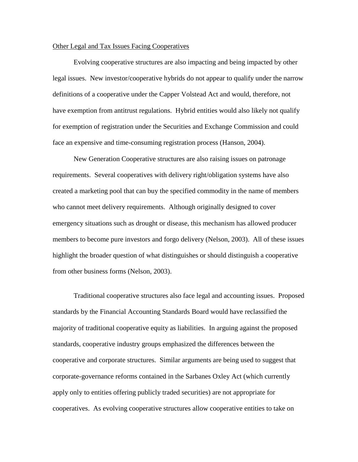## Other Legal and Tax Issues Facing Cooperatives

Evolving cooperative structures are also impacting and being impacted by other legal issues. New investor/cooperative hybrids do not appear to qualify under the narrow definitions of a cooperative under the Capper Volstead Act and would, therefore, not have exemption from antitrust regulations. Hybrid entities would also likely not qualify for exemption of registration under the Securities and Exchange Commission and could face an expensive and time-consuming registration process (Hanson, 2004).

New Generation Cooperative structures are also raising issues on patronage requirements. Several cooperatives with delivery right/obligation systems have also created a marketing pool that can buy the specified commodity in the name of members who cannot meet delivery requirements. Although originally designed to cover emergency situations such as drought or disease, this mechanism has allowed producer members to become pure investors and forgo delivery (Nelson, 2003). All of these issues highlight the broader question of what distinguishes or should distinguish a cooperative from other business forms (Nelson, 2003).

Traditional cooperative structures also face legal and accounting issues. Proposed standards by the Financial Accounting Standards Board would have reclassified the majority of traditional cooperative equity as liabilities. In arguing against the proposed standards, cooperative industry groups emphasized the differences between the cooperative and corporate structures. Similar arguments are being used to suggest that corporate-governance reforms contained in the Sarbanes Oxley Act (which currently apply only to entities offering publicly traded securities) are not appropriate for cooperatives. As evolving cooperative structures allow cooperative entities to take on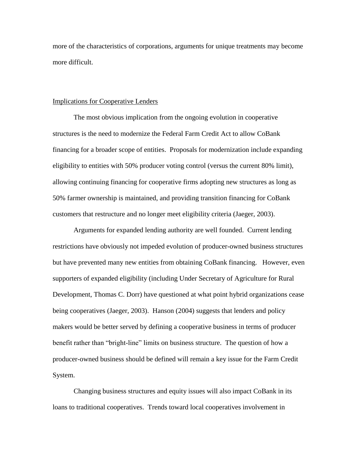more of the characteristics of corporations, arguments for unique treatments may become more difficult.

#### Implications for Cooperative Lenders

The most obvious implication from the ongoing evolution in cooperative structures is the need to modernize the Federal Farm Credit Act to allow CoBank financing for a broader scope of entities. Proposals for modernization include expanding eligibility to entities with 50% producer voting control (versus the current 80% limit), allowing continuing financing for cooperative firms adopting new structures as long as 50% farmer ownership is maintained, and providing transition financing for CoBank customers that restructure and no longer meet eligibility criteria (Jaeger, 2003).

Arguments for expanded lending authority are well founded. Current lending restrictions have obviously not impeded evolution of producer-owned business structures but have prevented many new entities from obtaining CoBank financing. However, even supporters of expanded eligibility (including Under Secretary of Agriculture for Rural Development, Thomas C. Dorr) have questioned at what point hybrid organizations cease being cooperatives (Jaeger, 2003). Hanson (2004) suggests that lenders and policy makers would be better served by defining a cooperative business in terms of producer benefit rather than "bright-line" limits on business structure. The question of how a producer-owned business should be defined will remain a key issue for the Farm Credit System.

Changing business structures and equity issues will also impact CoBank in its loans to traditional cooperatives. Trends toward local cooperatives involvement in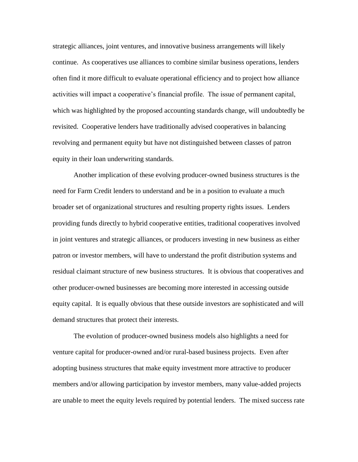strategic alliances, joint ventures, and innovative business arrangements will likely continue. As cooperatives use alliances to combine similar business operations, lenders often find it more difficult to evaluate operational efficiency and to project how alliance activities will impact a cooperative's financial profile. The issue of permanent capital, which was highlighted by the proposed accounting standards change, will undoubtedly be revisited. Cooperative lenders have traditionally advised cooperatives in balancing revolving and permanent equity but have not distinguished between classes of patron equity in their loan underwriting standards.

Another implication of these evolving producer-owned business structures is the need for Farm Credit lenders to understand and be in a position to evaluate a much broader set of organizational structures and resulting property rights issues. Lenders providing funds directly to hybrid cooperative entities, traditional cooperatives involved in joint ventures and strategic alliances, or producers investing in new business as either patron or investor members, will have to understand the profit distribution systems and residual claimant structure of new business structures. It is obvious that cooperatives and other producer-owned businesses are becoming more interested in accessing outside equity capital. It is equally obvious that these outside investors are sophisticated and will demand structures that protect their interests.

The evolution of producer-owned business models also highlights a need for venture capital for producer-owned and/or rural-based business projects. Even after adopting business structures that make equity investment more attractive to producer members and/or allowing participation by investor members, many value-added projects are unable to meet the equity levels required by potential lenders. The mixed success rate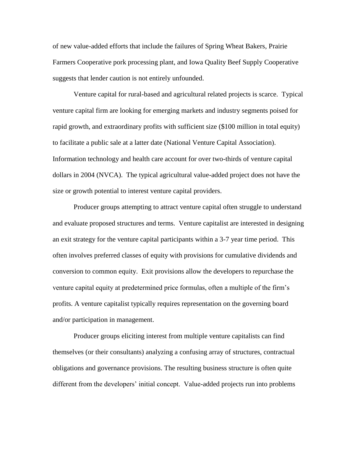of new value-added efforts that include the failures of Spring Wheat Bakers, Prairie Farmers Cooperative pork processing plant, and Iowa Quality Beef Supply Cooperative suggests that lender caution is not entirely unfounded.

Venture capital for rural-based and agricultural related projects is scarce. Typical venture capital firm are looking for emerging markets and industry segments poised for rapid growth, and extraordinary profits with sufficient size (\$100 million in total equity) to facilitate a public sale at a latter date (National Venture Capital Association). Information technology and health care account for over two-thirds of venture capital dollars in 2004 (NVCA). The typical agricultural value-added project does not have the size or growth potential to interest venture capital providers.

Producer groups attempting to attract venture capital often struggle to understand and evaluate proposed structures and terms. Venture capitalist are interested in designing an exit strategy for the venture capital participants within a 3-7 year time period. This often involves preferred classes of equity with provisions for cumulative dividends and conversion to common equity. Exit provisions allow the developers to repurchase the venture capital equity at predetermined price formulas, often a multiple of the firm's profits. A venture capitalist typically requires representation on the governing board and/or participation in management.

Producer groups eliciting interest from multiple venture capitalists can find themselves (or their consultants) analyzing a confusing array of structures, contractual obligations and governance provisions. The resulting business structure is often quite different from the developers' initial concept. Value-added projects run into problems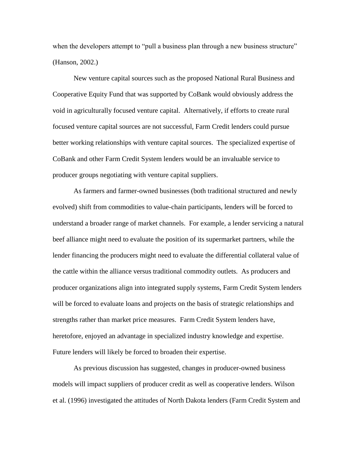when the developers attempt to "pull a business plan through a new business structure" (Hanson, 2002.)

New venture capital sources such as the proposed National Rural Business and Cooperative Equity Fund that was supported by CoBank would obviously address the void in agriculturally focused venture capital. Alternatively, if efforts to create rural focused venture capital sources are not successful, Farm Credit lenders could pursue better working relationships with venture capital sources. The specialized expertise of CoBank and other Farm Credit System lenders would be an invaluable service to producer groups negotiating with venture capital suppliers.

As farmers and farmer-owned businesses (both traditional structured and newly evolved) shift from commodities to value-chain participants, lenders will be forced to understand a broader range of market channels. For example, a lender servicing a natural beef alliance might need to evaluate the position of its supermarket partners, while the lender financing the producers might need to evaluate the differential collateral value of the cattle within the alliance versus traditional commodity outlets. As producers and producer organizations align into integrated supply systems, Farm Credit System lenders will be forced to evaluate loans and projects on the basis of strategic relationships and strengths rather than market price measures. Farm Credit System lenders have, heretofore, enjoyed an advantage in specialized industry knowledge and expertise. Future lenders will likely be forced to broaden their expertise.

As previous discussion has suggested, changes in producer-owned business models will impact suppliers of producer credit as well as cooperative lenders. Wilson et al. (1996) investigated the attitudes of North Dakota lenders (Farm Credit System and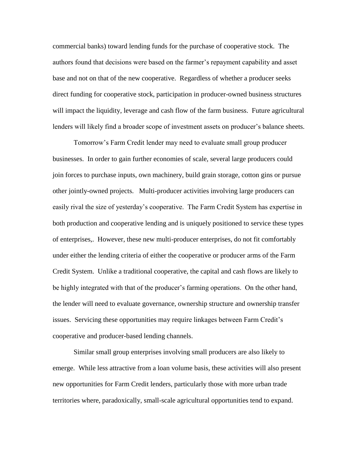commercial banks) toward lending funds for the purchase of cooperative stock. The authors found that decisions were based on the farmer's repayment capability and asset base and not on that of the new cooperative. Regardless of whether a producer seeks direct funding for cooperative stock, participation in producer-owned business structures will impact the liquidity, leverage and cash flow of the farm business. Future agricultural lenders will likely find a broader scope of investment assets on producer's balance sheets.

Tomorrow's Farm Credit lender may need to evaluate small group producer businesses. In order to gain further economies of scale, several large producers could join forces to purchase inputs, own machinery, build grain storage, cotton gins or pursue other jointly-owned projects. Multi-producer activities involving large producers can easily rival the size of yesterday's cooperative. The Farm Credit System has expertise in both production and cooperative lending and is uniquely positioned to service these types of enterprises,. However, these new multi-producer enterprises, do not fit comfortably under either the lending criteria of either the cooperative or producer arms of the Farm Credit System. Unlike a traditional cooperative, the capital and cash flows are likely to be highly integrated with that of the producer's farming operations. On the other hand, the lender will need to evaluate governance, ownership structure and ownership transfer issues. Servicing these opportunities may require linkages between Farm Credit's cooperative and producer-based lending channels.

Similar small group enterprises involving small producers are also likely to emerge. While less attractive from a loan volume basis, these activities will also present new opportunities for Farm Credit lenders, particularly those with more urban trade territories where, paradoxically, small-scale agricultural opportunities tend to expand.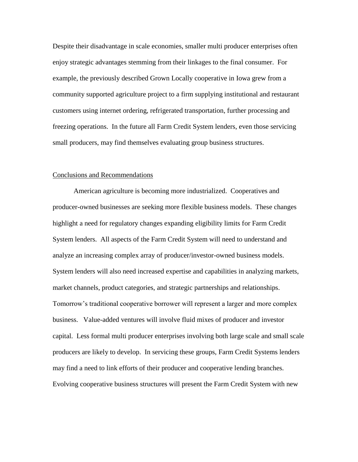Despite their disadvantage in scale economies, smaller multi producer enterprises often enjoy strategic advantages stemming from their linkages to the final consumer. For example, the previously described Grown Locally cooperative in Iowa grew from a community supported agriculture project to a firm supplying institutional and restaurant customers using internet ordering, refrigerated transportation, further processing and freezing operations. In the future all Farm Credit System lenders, even those servicing small producers, may find themselves evaluating group business structures.

### Conclusions and Recommendations

American agriculture is becoming more industrialized. Cooperatives and producer-owned businesses are seeking more flexible business models. These changes highlight a need for regulatory changes expanding eligibility limits for Farm Credit System lenders. All aspects of the Farm Credit System will need to understand and analyze an increasing complex array of producer/investor-owned business models. System lenders will also need increased expertise and capabilities in analyzing markets, market channels, product categories, and strategic partnerships and relationships. Tomorrow's traditional cooperative borrower will represent a larger and more complex business. Value-added ventures will involve fluid mixes of producer and investor capital. Less formal multi producer enterprises involving both large scale and small scale producers are likely to develop. In servicing these groups, Farm Credit Systems lenders may find a need to link efforts of their producer and cooperative lending branches. Evolving cooperative business structures will present the Farm Credit System with new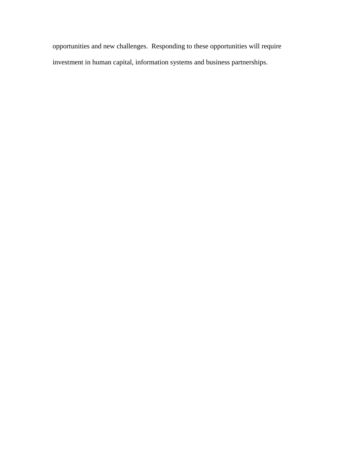opportunities and new challenges. Responding to these opportunities will require investment in human capital, information systems and business partnerships.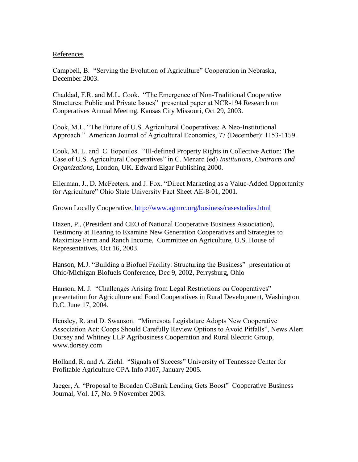## References

Campbell, B. "Serving the Evolution of Agriculture" Cooperation in Nebraska, December 2003.

Chaddad, F.R. and M.L. Cook. "The Emergence of Non-Traditional Cooperative Structures: Public and Private Issues" presented paper at NCR-194 Research on Cooperatives Annual Meeting, Kansas City Missouri, Oct 29, 2003.

Cook, M.L. "The Future of U.S. Agricultural Cooperatives: A Neo-Institutional Approach." American Journal of Agricultural Economics, 77 (December): 1153-1159.

Cook, M. L. and C. Iiopoulos. "Ill-defined Property Rights in Collective Action: The Case of U.S. Agricultural Cooperatives" in C. Menard (ed) *Institutions, Contracts and Organizations*, London, UK. Edward Elgar Publishing 2000.

Ellerman, J., D. McFeeters, and J. Fox. "Direct Marketing as a Value-Added Opportunity for Agriculture" Ohio State University Fact Sheet AE-8-01, 2001.

Grown Locally Cooperative,<http://www.agmrc.org/business/casestudies.html>

Hazen, P., (President and CEO of National Cooperative Business Association), Testimony at Hearing to Examine New Generation Cooperatives and Strategies to Maximize Farm and Ranch Income, Committee on Agriculture, U.S. House of Representatives, Oct 16, 2003.

Hanson, M.J. "Building a Biofuel Facility: Structuring the Business" presentation at Ohio/Michigan Biofuels Conference, Dec 9, 2002, Perrysburg, Ohio

Hanson, M. J. "Challenges Arising from Legal Restrictions on Cooperatives" presentation for Agriculture and Food Cooperatives in Rural Development, Washington D.C. June 17, 2004.

Hensley, R. and D. Swanson. "Minnesota Legislature Adopts New Cooperative Association Act: Coops Should Carefully Review Options to Avoid Pitfalls", News Alert Dorsey and Whitney LLP Agribusiness Cooperation and Rural Electric Group, www.dorsey.com

Holland, R. and A. Ziehl. "Signals of Success" University of Tennessee Center for Profitable Agriculture CPA Info #107, January 2005.

Jaeger, A. "Proposal to Broaden CoBank Lending Gets Boost" Cooperative Business Journal, Vol. 17, No. 9 November 2003.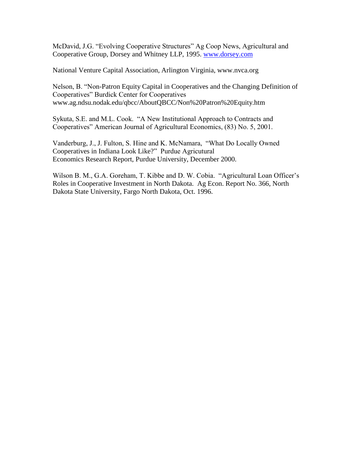McDavid, J.G. "Evolving Cooperative Structures" Ag Coop News, Agricultural and Cooperative Group, Dorsey and Whitney LLP, 1995. [www.dorsey.com](http://www.dorsey.com/)

National Venture Capital Association, Arlington Virginia, www.nvca.org

Nelson, B. "Non-Patron Equity Capital in Cooperatives and the Changing Definition of Cooperatives" Burdick Center for Cooperatives www.ag.ndsu.nodak.edu/qbcc/AboutQBCC/Non%20Patron%20Equity.htm

Sykuta, S.E. and M.L. Cook. "A New Institutional Approach to Contracts and Cooperatives" American Journal of Agricultural Economics, (83) No. 5, 2001.

Vanderburg, J., J. Fulton, S. Hine and K. McNamara, "What Do Locally Owned Cooperatives in Indiana Look Like?" Purdue Agricutural Economics Research Report, Purdue University, December 2000.

Wilson B. M., G.A. Goreham, T. Kibbe and D. W. Cobia. "Agricultural Loan Officer's Roles in Cooperative Investment in North Dakota. Ag Econ. Report No. 366, North Dakota State University, Fargo North Dakota, Oct. 1996.